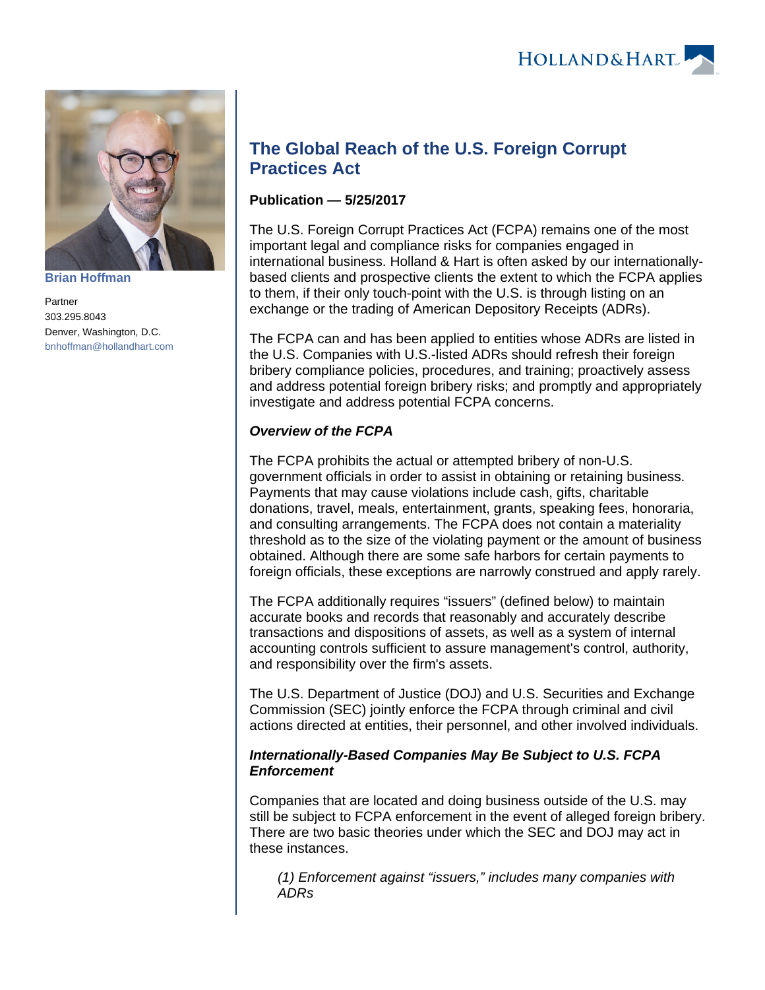

**[Brian Hoffman](https://www.hollandhart.com/25824)**

Partner 303.295.8043 Denver, Washington, D.C. [bnhoffman@hollandhart.com](mailto:bnhoffman@hollandhart.com)

# **The Global Reach of the U.S. Foreign Corrupt Practices Act**

# **Publication — 5/25/2017**

The U.S. Foreign Corrupt Practices Act (FCPA) remains one of the most important legal and compliance risks for companies engaged in international business. Holland & Hart is often asked by our internationallybased clients and prospective clients the extent to which the FCPA applies to them, if their only touch-point with the U.S. is through listing on an exchange or the trading of American Depository Receipts (ADRs).

The FCPA can and has been applied to entities whose ADRs are listed in the U.S. Companies with U.S.-listed ADRs should refresh their foreign bribery compliance policies, procedures, and training; proactively assess and address potential foreign bribery risks; and promptly and appropriately investigate and address potential FCPA concerns.

# **Overview of the FCPA**

The FCPA prohibits the actual or attempted bribery of non-U.S. government officials in order to assist in obtaining or retaining business. Payments that may cause violations include cash, gifts, charitable donations, travel, meals, entertainment, grants, speaking fees, honoraria, and consulting arrangements. The FCPA does not contain a materiality threshold as to the size of the violating payment or the amount of business obtained. Although there are some safe harbors for certain payments to foreign officials, these exceptions are narrowly construed and apply rarely.

The FCPA additionally requires "issuers" (defined below) to maintain accurate books and records that reasonably and accurately describe transactions and dispositions of assets, as well as a system of internal accounting controls sufficient to assure management's control, authority, and responsibility over the firm's assets.

The U.S. Department of Justice (DOJ) and U.S. Securities and Exchange Commission (SEC) jointly enforce the FCPA through criminal and civil actions directed at entities, their personnel, and other involved individuals.

## **Internationally-Based Companies May Be Subject to U.S. FCPA Enforcement**

Companies that are located and doing business outside of the U.S. may still be subject to FCPA enforcement in the event of alleged foreign bribery. There are two basic theories under which the SEC and DOJ may act in these instances.

(1) Enforcement against "issuers," includes many companies with ADRs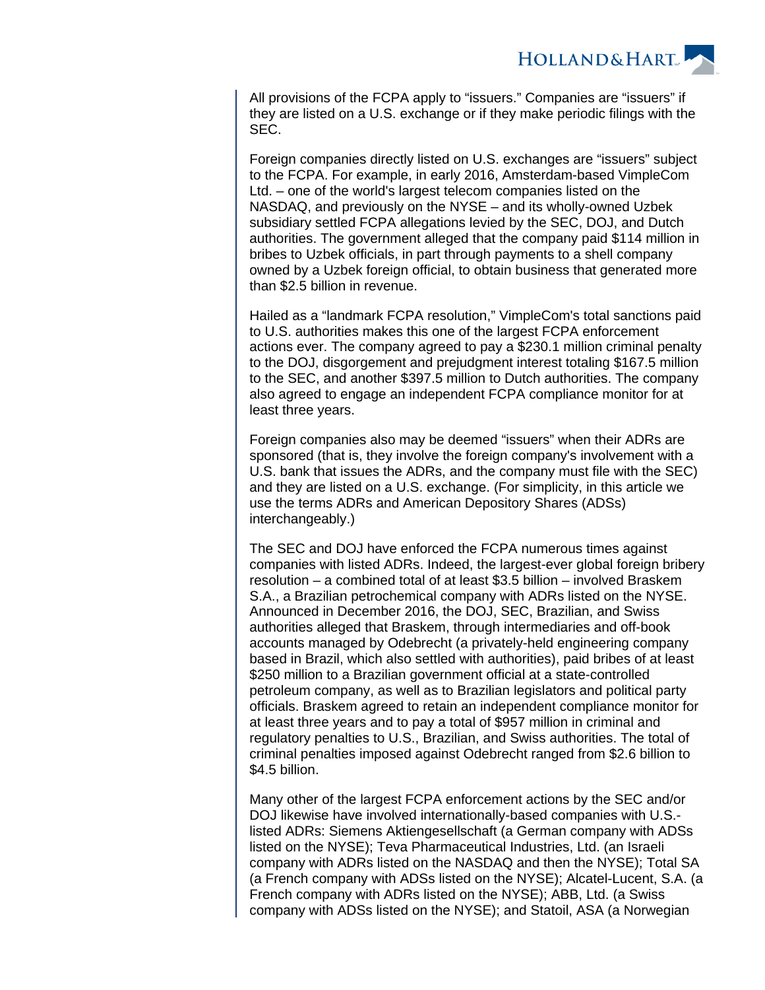

All provisions of the FCPA apply to "issuers." Companies are "issuers" if they are listed on a U.S. exchange or if they make periodic filings with the SEC.

Foreign companies directly listed on U.S. exchanges are "issuers" subject to the FCPA. For example, in early 2016, Amsterdam-based VimpleCom Ltd. – one of the world's largest telecom companies listed on the NASDAQ, and previously on the NYSE – and its wholly-owned Uzbek subsidiary settled FCPA allegations levied by the SEC, DOJ, and Dutch authorities. The government alleged that the company paid \$114 million in bribes to Uzbek officials, in part through payments to a shell company owned by a Uzbek foreign official, to obtain business that generated more than \$2.5 billion in revenue.

Hailed as a "landmark FCPA resolution," VimpleCom's total sanctions paid to U.S. authorities makes this one of the largest FCPA enforcement actions ever. The company agreed to pay a \$230.1 million criminal penalty to the DOJ, disgorgement and prejudgment interest totaling \$167.5 million to the SEC, and another \$397.5 million to Dutch authorities. The company also agreed to engage an independent FCPA compliance monitor for at least three years.

Foreign companies also may be deemed "issuers" when their ADRs are sponsored (that is, they involve the foreign company's involvement with a U.S. bank that issues the ADRs, and the company must file with the SEC) and they are listed on a U.S. exchange. (For simplicity, in this article we use the terms ADRs and American Depository Shares (ADSs) interchangeably.)

The SEC and DOJ have enforced the FCPA numerous times against companies with listed ADRs. Indeed, the largest-ever global foreign bribery resolution – a combined total of at least \$3.5 billion – involved Braskem S.A., a Brazilian petrochemical company with ADRs listed on the NYSE. Announced in December 2016, the DOJ, SEC, Brazilian, and Swiss authorities alleged that Braskem, through intermediaries and off-book accounts managed by Odebrecht (a privately-held engineering company based in Brazil, which also settled with authorities), paid bribes of at least \$250 million to a Brazilian government official at a state-controlled petroleum company, as well as to Brazilian legislators and political party officials. Braskem agreed to retain an independent compliance monitor for at least three years and to pay a total of \$957 million in criminal and regulatory penalties to U.S., Brazilian, and Swiss authorities. The total of criminal penalties imposed against Odebrecht ranged from \$2.6 billion to \$4.5 billion.

Many other of the largest FCPA enforcement actions by the SEC and/or DOJ likewise have involved internationally-based companies with U.S. listed ADRs: Siemens Aktiengesellschaft (a German company with ADSs listed on the NYSE); Teva Pharmaceutical Industries, Ltd. (an Israeli company with ADRs listed on the NASDAQ and then the NYSE); Total SA (a French company with ADSs listed on the NYSE); Alcatel-Lucent, S.A. (a French company with ADRs listed on the NYSE); ABB, Ltd. (a Swiss company with ADSs listed on the NYSE); and Statoil, ASA (a Norwegian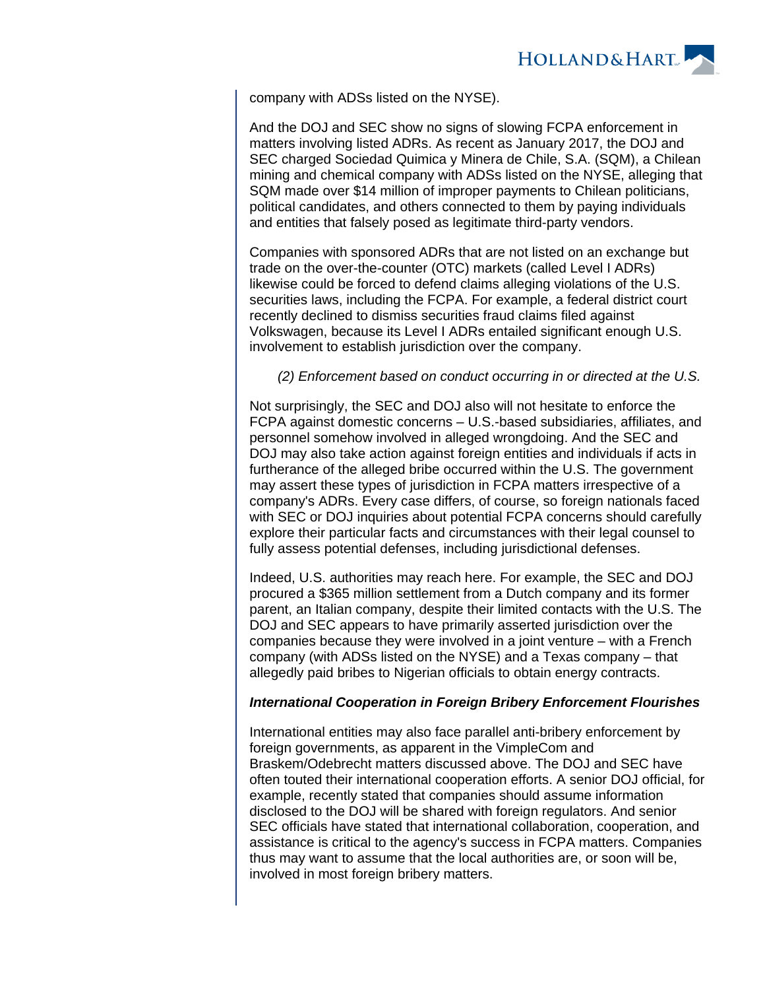

company with ADSs listed on the NYSE).

And the DOJ and SEC show no signs of slowing FCPA enforcement in matters involving listed ADRs. As recent as January 2017, the DOJ and SEC charged Sociedad Quimica y Minera de Chile, S.A. (SQM), a Chilean mining and chemical company with ADSs listed on the NYSE, alleging that SQM made over \$14 million of improper payments to Chilean politicians, political candidates, and others connected to them by paying individuals and entities that falsely posed as legitimate third-party vendors.

Companies with sponsored ADRs that are not listed on an exchange but trade on the over-the-counter (OTC) markets (called Level I ADRs) likewise could be forced to defend claims alleging violations of the U.S. securities laws, including the FCPA. For example, a federal district court recently declined to dismiss securities fraud claims filed against Volkswagen, because its Level I ADRs entailed significant enough U.S. involvement to establish jurisdiction over the company.

## (2) Enforcement based on conduct occurring in or directed at the U.S.

Not surprisingly, the SEC and DOJ also will not hesitate to enforce the FCPA against domestic concerns – U.S.-based subsidiaries, affiliates, and personnel somehow involved in alleged wrongdoing. And the SEC and DOJ may also take action against foreign entities and individuals if acts in furtherance of the alleged bribe occurred within the U.S. The government may assert these types of jurisdiction in FCPA matters irrespective of a company's ADRs. Every case differs, of course, so foreign nationals faced with SEC or DOJ inquiries about potential FCPA concerns should carefully explore their particular facts and circumstances with their legal counsel to fully assess potential defenses, including jurisdictional defenses.

Indeed, U.S. authorities may reach here. For example, the SEC and DOJ procured a \$365 million settlement from a Dutch company and its former parent, an Italian company, despite their limited contacts with the U.S. The DOJ and SEC appears to have primarily asserted jurisdiction over the companies because they were involved in a joint venture – with a French company (with ADSs listed on the NYSE) and a Texas company – that allegedly paid bribes to Nigerian officials to obtain energy contracts.

## **International Cooperation in Foreign Bribery Enforcement Flourishes**

International entities may also face parallel anti-bribery enforcement by foreign governments, as apparent in the VimpleCom and Braskem/Odebrecht matters discussed above. The DOJ and SEC have often touted their international cooperation efforts. A senior DOJ official, for example, recently stated that companies should assume information disclosed to the DOJ will be shared with foreign regulators. And senior SEC officials have stated that international collaboration, cooperation, and assistance is critical to the agency's success in FCPA matters. Companies thus may want to assume that the local authorities are, or soon will be, involved in most foreign bribery matters.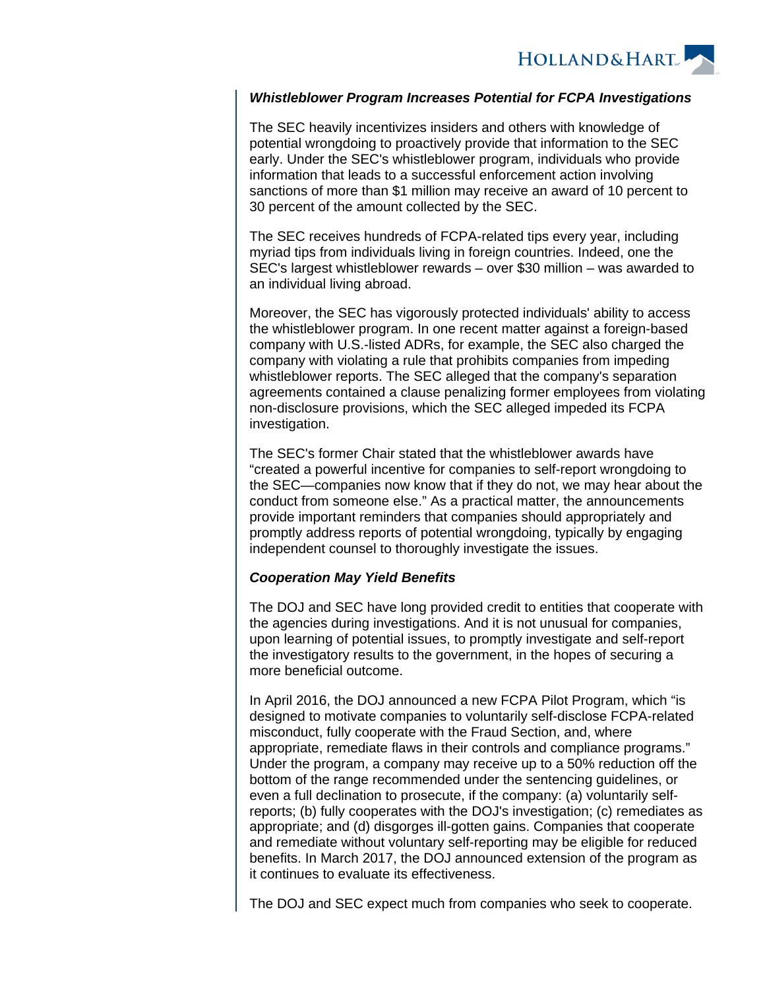

#### **Whistleblower Program Increases Potential for FCPA Investigations**

The SEC heavily incentivizes insiders and others with knowledge of potential wrongdoing to proactively provide that information to the SEC early. Under the SEC's whistleblower program, individuals who provide information that leads to a successful enforcement action involving sanctions of more than \$1 million may receive an award of 10 percent to 30 percent of the amount collected by the SEC.

The SEC receives hundreds of FCPA-related tips every year, including myriad tips from individuals living in foreign countries. Indeed, one the SEC's largest whistleblower rewards – over \$30 million – was awarded to an individual living abroad.

Moreover, the SEC has vigorously protected individuals' ability to access the whistleblower program. In one recent matter against a foreign-based company with U.S.-listed ADRs, for example, the SEC also charged the company with violating a rule that prohibits companies from impeding whistleblower reports. The SEC alleged that the company's separation agreements contained a clause penalizing former employees from violating non-disclosure provisions, which the SEC alleged impeded its FCPA investigation.

The SEC's former Chair stated that the whistleblower awards have "created a powerful incentive for companies to self-report wrongdoing to the SEC—companies now know that if they do not, we may hear about the conduct from someone else." As a practical matter, the announcements provide important reminders that companies should appropriately and promptly address reports of potential wrongdoing, typically by engaging independent counsel to thoroughly investigate the issues.

#### **Cooperation May Yield Benefits**

The DOJ and SEC have long provided credit to entities that cooperate with the agencies during investigations. And it is not unusual for companies, upon learning of potential issues, to promptly investigate and self-report the investigatory results to the government, in the hopes of securing a more beneficial outcome.

In April 2016, the DOJ announced a new FCPA Pilot Program, which "is designed to motivate companies to voluntarily self-disclose FCPA-related misconduct, fully cooperate with the Fraud Section, and, where appropriate, remediate flaws in their controls and compliance programs." Under the program, a company may receive up to a 50% reduction off the bottom of the range recommended under the sentencing guidelines, or even a full declination to prosecute, if the company: (a) voluntarily selfreports; (b) fully cooperates with the DOJ's investigation; (c) remediates as appropriate; and (d) disgorges ill-gotten gains. Companies that cooperate and remediate without voluntary self-reporting may be eligible for reduced benefits. In March 2017, the DOJ announced extension of the program as it continues to evaluate its effectiveness.

The DOJ and SEC expect much from companies who seek to cooperate.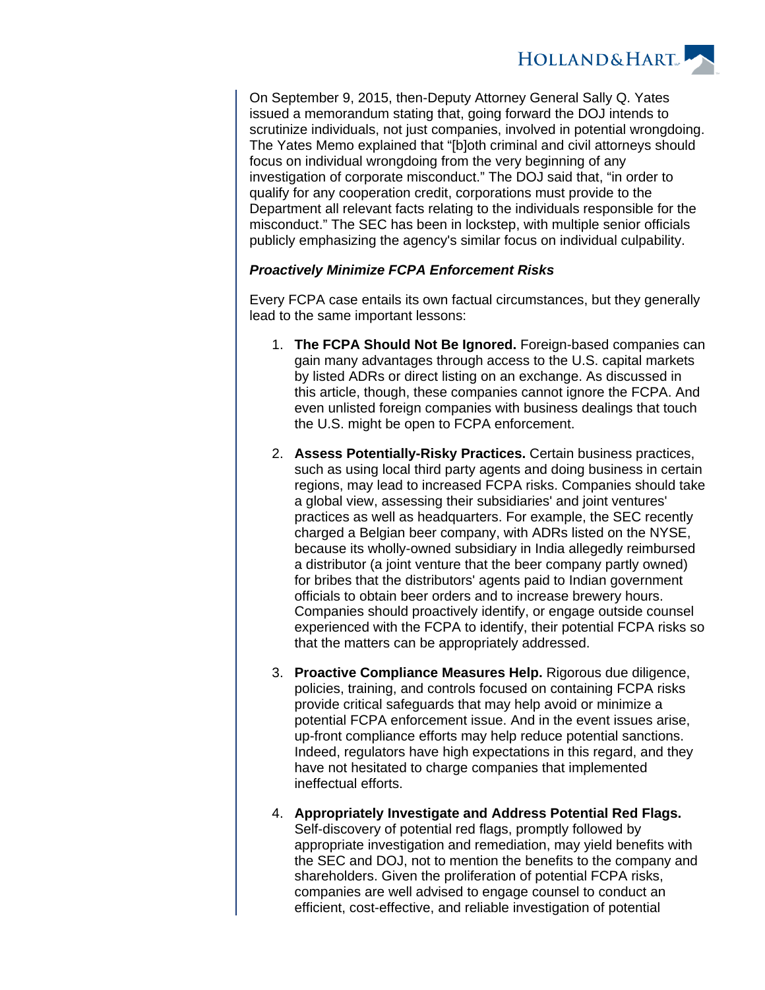

On September 9, 2015, then-Deputy Attorney General Sally Q. Yates issued a memorandum stating that, going forward the DOJ intends to scrutinize individuals, not just companies, involved in potential wrongdoing. The Yates Memo explained that "[b]oth criminal and civil attorneys should focus on individual wrongdoing from the very beginning of any investigation of corporate misconduct." The DOJ said that, "in order to qualify for any cooperation credit, corporations must provide to the Department all relevant facts relating to the individuals responsible for the misconduct." The SEC has been in lockstep, with multiple senior officials publicly emphasizing the agency's similar focus on individual culpability.

#### **Proactively Minimize FCPA Enforcement Risks**

Every FCPA case entails its own factual circumstances, but they generally lead to the same important lessons:

- 1. **The FCPA Should Not Be Ignored.** Foreign-based companies can gain many advantages through access to the U.S. capital markets by listed ADRs or direct listing on an exchange. As discussed in this article, though, these companies cannot ignore the FCPA. And even unlisted foreign companies with business dealings that touch the U.S. might be open to FCPA enforcement.
- 2. **Assess Potentially-Risky Practices.** Certain business practices, such as using local third party agents and doing business in certain regions, may lead to increased FCPA risks. Companies should take a global view, assessing their subsidiaries' and joint ventures' practices as well as headquarters. For example, the SEC recently charged a Belgian beer company, with ADRs listed on the NYSE, because its wholly-owned subsidiary in India allegedly reimbursed a distributor (a joint venture that the beer company partly owned) for bribes that the distributors' agents paid to Indian government officials to obtain beer orders and to increase brewery hours. Companies should proactively identify, or engage outside counsel experienced with the FCPA to identify, their potential FCPA risks so that the matters can be appropriately addressed.
- 3. **Proactive Compliance Measures Help.** Rigorous due diligence, policies, training, and controls focused on containing FCPA risks provide critical safeguards that may help avoid or minimize a potential FCPA enforcement issue. And in the event issues arise, up-front compliance efforts may help reduce potential sanctions. Indeed, regulators have high expectations in this regard, and they have not hesitated to charge companies that implemented ineffectual efforts.
- 4. **Appropriately Investigate and Address Potential Red Flags.** Self-discovery of potential red flags, promptly followed by appropriate investigation and remediation, may yield benefits with the SEC and DOJ, not to mention the benefits to the company and shareholders. Given the proliferation of potential FCPA risks, companies are well advised to engage counsel to conduct an efficient, cost-effective, and reliable investigation of potential